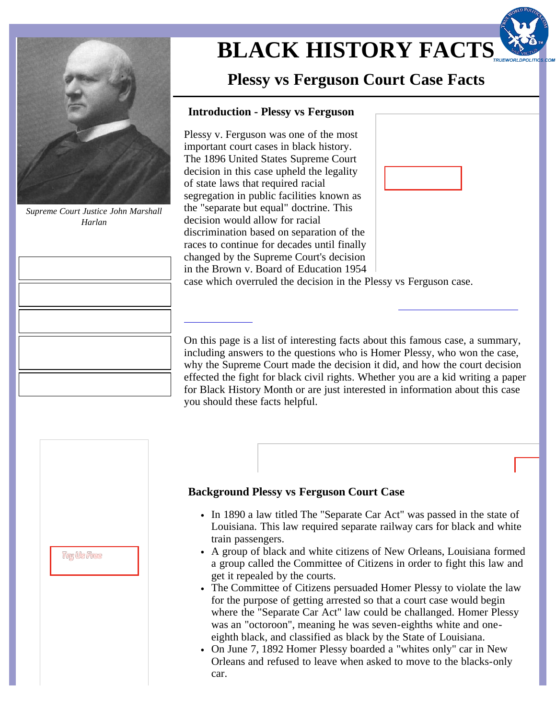

*Supreme Court Justice John Marshall Harlan*

# **[BLACK HISTORY FACTS](http://www.black-history-facts.com/Black-History-Facts-Important-Court-Cases/Plessy-vs-Ferguson-Court-Case-Facts.html)**

## **Plessy vs Ferguson Court Case Facts**

### **Introduction - Plessy vs Ferguson**

Plessy v. Ferguson was one of the most important court cases in black history. The 1896 United States Supreme Court decision in this case upheld the legality of state laws that required racial segregation in public facilities known as the "separate but equal" doctrine. This decision would allow for racial discrimination based on separation of the races to continue for decades until finally changed by the Supreme Court's decision in the Brown v. Board of Education 1954

case which overruled the decision in the Plessy vs Ferguson case.

On this page is a list of interesting facts about this famous case, a summary, including answers to the questions who is Homer Plessy, who won the case, why the Supreme Court made the decision it did, and how the court decision effected the fight for black civil rights. Whether you are a kid writing a paper for Black History Month or are just interested in information about this case you should these facts helpful.

| <b>Try Us Free</b> |  |
|--------------------|--|
|                    |  |

#### **Background Plessy vs Ferguson Court Case**

- In 1890 a law titled The "Separate Car Act" was passed in the state of Louisiana. This law required separate railway cars for black and white train passengers.
- A group of black and white citizens of New Orleans, Louisiana formed a group called the Committee of Citizens in order to fight this law and get it repealed by the courts.
- The Committee of Citizens persuaded Homer Plessy to violate the law for the purpose of getting arrested so that a court case would begin where the "Separate Car Act" law could be challanged. Homer Plessy was an "octoroon", meaning he was seven-eighths white and oneeighth black, and classified as black by the State of Louisiana.
- On June 7, 1892 Homer Plessy boarded a "whites only" car in New Orleans and refused to leave when asked to move to the blacks-only car.